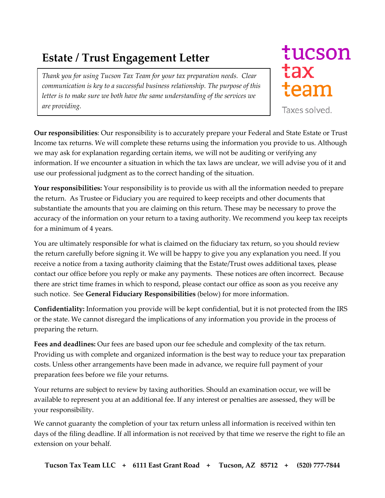## **Estate / Trust Engagement Letter**

*Thank you for using Tucson Tax Team for your tax preparation needs. Clear communication is key to a successful business relationship. The purpose of this letter is to make sure we both have the same understanding of the services we are providing.*

## tucson tax team

Taxes solved.

**Our responsibilities**: Our responsibility is to accurately prepare your Federal and State Estate or Trust Income tax returns. We will complete these returns using the information you provide to us. Although we may ask for explanation regarding certain items, we will not be auditing or verifying any information. If we encounter a situation in which the tax laws are unclear, we will advise you of it and use our professional judgment as to the correct handing of the situation.

**Your responsibilities:** Your responsibility is to provide us with all the information needed to prepare the return. As Trustee or Fiduciary you are required to keep receipts and other documents that substantiate the amounts that you are claiming on this return. These may be necessary to prove the accuracy of the information on your return to a taxing authority. We recommend you keep tax receipts for a minimum of 4 years.

You are ultimately responsible for what is claimed on the fiduciary tax return, so you should review the return carefully before signing it. We will be happy to give you any explanation you need. If you receive a notice from a taxing authority claiming that the Estate/Trust owes additional taxes, please contact our office before you reply or make any payments. These notices are often incorrect. Because there are strict time frames in which to respond, please contact our office as soon as you receive any such notice. See **General Fiduciary Responsibilities** (below) for more information.

**Confidentiality:** Information you provide will be kept confidential, but it is not protected from the IRS or the state. We cannot disregard the implications of any information you provide in the process of preparing the return.

**Fees and deadlines:** Our fees are based upon our fee schedule and complexity of the tax return. Providing us with complete and organized information is the best way to reduce your tax preparation costs. Unless other arrangements have been made in advance, we require full payment of your preparation fees before we file your returns.

Your returns are subject to review by taxing authorities. Should an examination occur, we will be available to represent you at an additional fee. If any interest or penalties are assessed, they will be your responsibility.

We cannot guaranty the completion of your tax return unless all information is received within ten days of the filing deadline. If all information is not received by that time we reserve the right to file an extension on your behalf.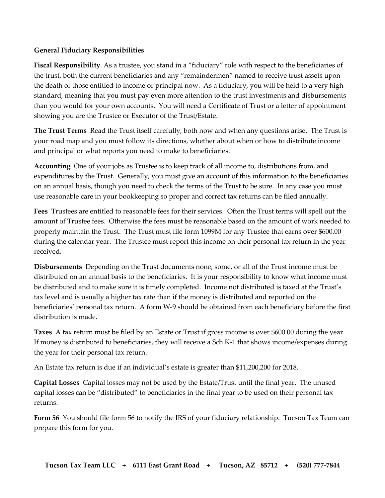## **General Fiduciary Responsibilities**

**Fiscal Responsibility** As a trustee, you stand in a "fiduciary" role with respect to the beneficiaries of the trust, both the current beneficiaries and any "remaindermen" named to receive trust assets upon the death of those entitled to income or principal now. As a fiduciary, you will be held to a very high standard, meaning that you must pay even more attention to the trust investments and disbursements than you would for your own accounts. You will need a Certificate of Trust or a letter of appointment showing you are the Trustee or Executor of the Trust/Estate.

**The Trust Terms** Read the Trust itself carefully, both now and when any questions arise. The Trust is your road map and you must follow its directions, whether about when or how to distribute income and principal or what reports you need to make to beneficiaries.

**Accounting** One of your jobs as Trustee is to keep track of all income to, distributions from, and expenditures by the Trust. Generally, you must give an account of this information to the beneficiaries on an annual basis, though you need to check the terms of the Trust to be sure. In any case you must use reasonable care in your bookkeeping so proper and correct tax returns can be filed annually.

**Fees** Trustees are entitled to reasonable fees for their services. Often the Trust terms will spell out the amount of Trustee fees. Otherwise the fees must be reasonable based on the amount of work needed to properly maintain the Trust. The Trust must file form 1099M for any Trustee that earns over \$600.00 during the calendar year. The Trustee must report this income on their personal tax return in the year received.

**Disbursements** Depending on the Trust documents none, some, or all of the Trust income must be distributed on an annual basis to the beneficiaries. It is your responsibility to know what income must be distributed and to make sure it is timely completed. Income not distributed is taxed at the Trust's tax level and is usually a higher tax rate than if the money is distributed and reported on the beneficiaries' personal tax return. A form W-9 should be obtained from each beneficiary before the first distribution is made.

**Taxes** A tax return must be filed by an Estate or Trust if gross income is over \$600.00 during the year. If money is distributed to beneficiaries, they will receive a Sch K-1 that shows income/expenses during the year for their personal tax return.

An Estate tax return is due if an individual's estate is greater than \$11,200,200 for 2018.

**Capital Losses** Capital losses may not be used by the Estate/Trust until the final year. The unused capital losses can be "distributed" to beneficiaries in the final year to be used on their personal tax returns.

**Form 56** You should file form 56 to notify the IRS of your fiduciary relationship. Tucson Tax Team can prepare this form for you.